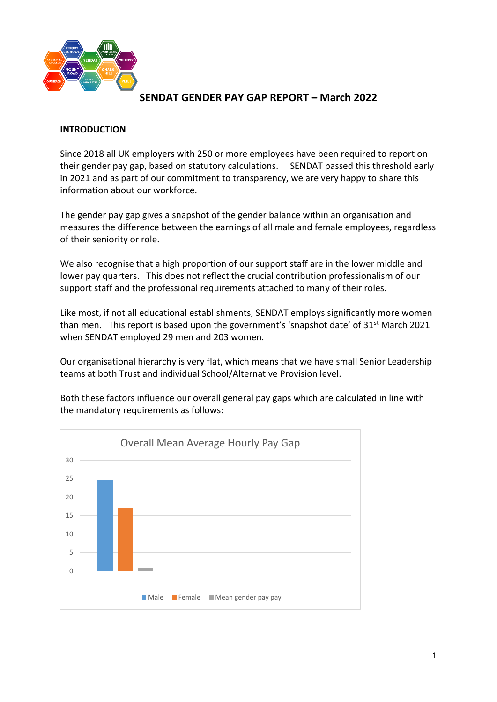

#### **INTRODUCTION**

Since 2018 all UK employers with 250 or more employees have been required to report on their gender pay gap, based on statutory calculations. SENDAT passed this threshold early in 2021 and as part of our commitment to transparency, we are very happy to share this information about our workforce.

The gender pay gap gives a snapshot of the gender balance within an organisation and measures the difference between the earnings of all male and female employees, regardless of their seniority or role.

We also recognise that a high proportion of our support staff are in the lower middle and lower pay quarters. This does not reflect the crucial contribution professionalism of our support staff and the professional requirements attached to many of their roles.

Like most, if not all educational establishments, SENDAT employs significantly more women than men. This report is based upon the government's 'snapshot date' of 31<sup>st</sup> March 2021 when SENDAT employed 29 men and 203 women.

Our organisational hierarchy is very flat, which means that we have small Senior Leadership teams at both Trust and individual School/Alternative Provision level.

Both these factors influence our overall general pay gaps which are calculated in line with the mandatory requirements as follows:

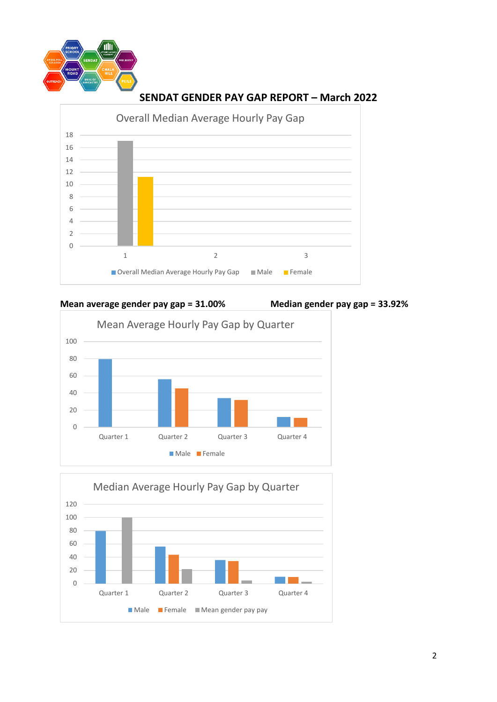



**Mean average gender pay gap = 31.00% Median gender pay gap = 33.92%**



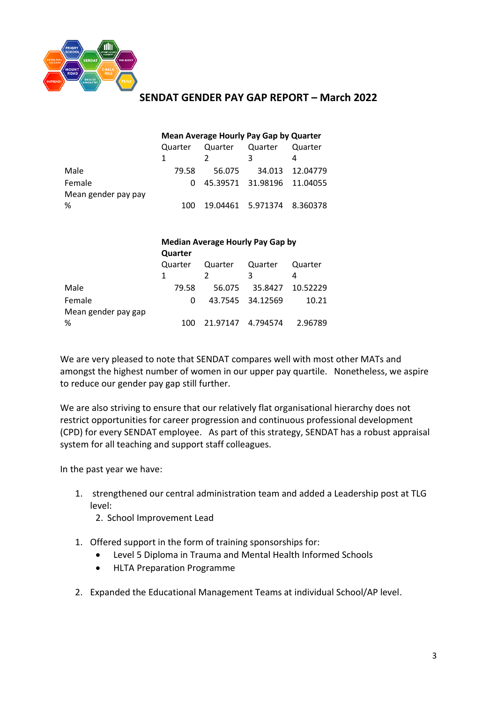

#### **Mean Average Hourly Pay Gap by Quarter**

|                     | Quarter | Quarter Quarter              |                            | Quarter         |
|---------------------|---------|------------------------------|----------------------------|-----------------|
|                     | -1      |                              | ર                          |                 |
| Male                | 79.58   | 56.075                       |                            | 34.013 12.04779 |
| Female              |         | 0 45.39571 31.98196 11.04055 |                            |                 |
| Mean gender pay pay |         |                              |                            |                 |
| %                   | 100.    |                              | 19.04461 5.971374 8.360378 |                 |

|                     | <b>Median Average Hourly Pay Gap by</b><br>Quarter |          |                  |          |  |
|---------------------|----------------------------------------------------|----------|------------------|----------|--|
|                     |                                                    |          |                  |          |  |
|                     | Quarter                                            | Quarter  | Quarter          | Quarter  |  |
|                     |                                                    |          | ٦                | 4        |  |
| Male                | 79.58                                              | 56.075   | 35.8427          | 10.52229 |  |
| Female              | 0                                                  |          | 43.7545 34.12569 | 10.21    |  |
| Mean gender pay gap |                                                    |          |                  |          |  |
| %                   | 100                                                | 21.97147 | 4.794574         | 2.96789  |  |

We are very pleased to note that SENDAT compares well with most other MATs and amongst the highest number of women in our upper pay quartile. Nonetheless, we aspire to reduce our gender pay gap still further.

We are also striving to ensure that our relatively flat organisational hierarchy does not restrict opportunities for career progression and continuous professional development (CPD) for every SENDAT employee. As part of this strategy, SENDAT has a robust appraisal system for all teaching and support staff colleagues.

In the past year we have:

- 1. strengthened our central administration team and added a Leadership post at TLG level:
	- 2. School Improvement Lead
- 1. Offered support in the form of training sponsorships for:
	- Level 5 Diploma in Trauma and Mental Health Informed Schools
	- HLTA Preparation Programme
- 2. Expanded the Educational Management Teams at individual School/AP level.